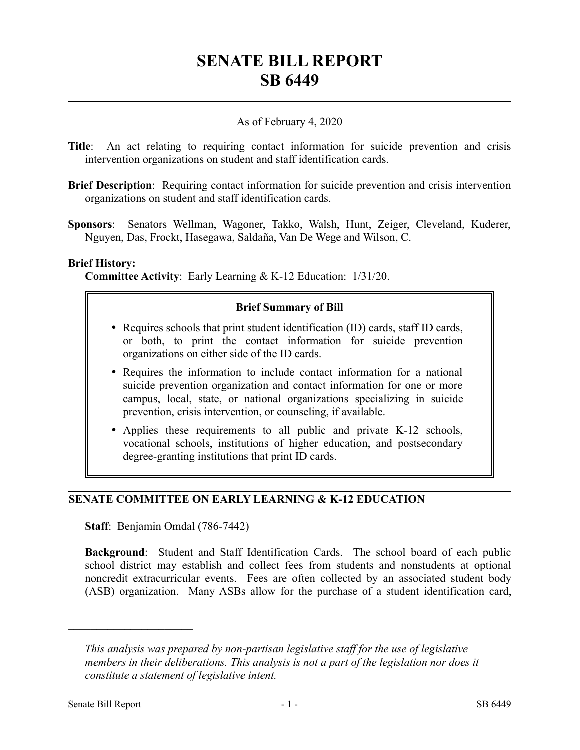# **SENATE BILL REPORT SB 6449**

# As of February 4, 2020

- **Title**: An act relating to requiring contact information for suicide prevention and crisis intervention organizations on student and staff identification cards.
- **Brief Description**: Requiring contact information for suicide prevention and crisis intervention organizations on student and staff identification cards.
- **Sponsors**: Senators Wellman, Wagoner, Takko, Walsh, Hunt, Zeiger, Cleveland, Kuderer, Nguyen, Das, Frockt, Hasegawa, Saldaña, Van De Wege and Wilson, C.

### **Brief History:**

**Committee Activity**: Early Learning & K-12 Education: 1/31/20.

# **Brief Summary of Bill**

- Requires schools that print student identification (ID) cards, staff ID cards, or both, to print the contact information for suicide prevention organizations on either side of the ID cards.
- Requires the information to include contact information for a national suicide prevention organization and contact information for one or more campus, local, state, or national organizations specializing in suicide prevention, crisis intervention, or counseling, if available.
- Applies these requirements to all public and private K-12 schools, vocational schools, institutions of higher education, and postsecondary degree-granting institutions that print ID cards.

# **SENATE COMMITTEE ON EARLY LEARNING & K-12 EDUCATION**

**Staff**: Benjamin Omdal (786-7442)

**Background**: Student and Staff Identification Cards. The school board of each public school district may establish and collect fees from students and nonstudents at optional noncredit extracurricular events. Fees are often collected by an associated student body (ASB) organization. Many ASBs allow for the purchase of a student identification card,

––––––––––––––––––––––

*This analysis was prepared by non-partisan legislative staff for the use of legislative members in their deliberations. This analysis is not a part of the legislation nor does it constitute a statement of legislative intent.*